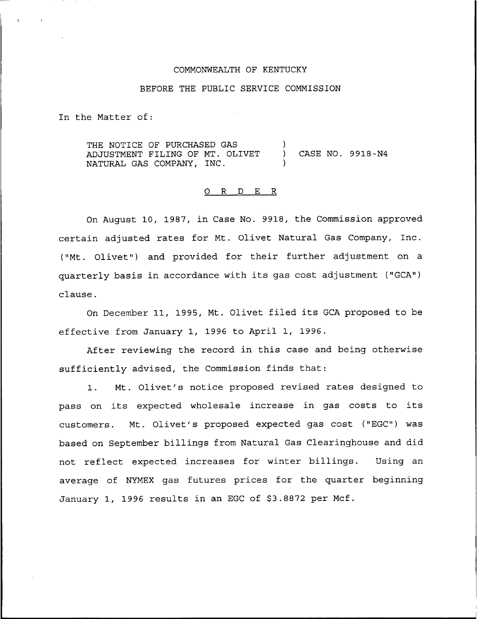## COMMONWEALTH OF KENTUCKY

## BEFORE THE PUBLIC SERVICE COMMISSION

In the Matter of:

THE NOTICE OF PURCHASED GAS )<br>ADJUSTMENT FILING OF MT. OLIVET ) ADJUSTMENT FILING OF MT. OLIVET ) CASE NO. 9918-N4 NATURAL GAS COMPANY, INC.

## 0 R <sup>D</sup> E R

On August 10, 1987, in Case No. 9918, the Commission approved certain adjusted rates for Mt. Olivet Natural Gas Company, Inc. ("Mt. Olivet") and provided for their further adjustment on a quarterly basis in accordance with its gas cost adjustment ("GCA") clause.

On December 11, 1995, Mt. Olivet filed its GCA proposed to be effective from January 1, 1996 to April 1, 1996.

After reviewing the record in this case and being otherwise sufficiently advised, the Commission finds that:

1. Mt. Olivet's notice proposed revised rates designed to pass on its expected wholesale increase in gas costs to its customers. Mt. Olivet's proposed expected gas cost ("EGC") was based on September billings from Natural Gas Clearinghouse and did not reflect expected increases for winter billings. Using an average of NYMEX gas futures prices for the quarter beginning January 1, 1996 results in an EGC of \$3.8872 per Mcf.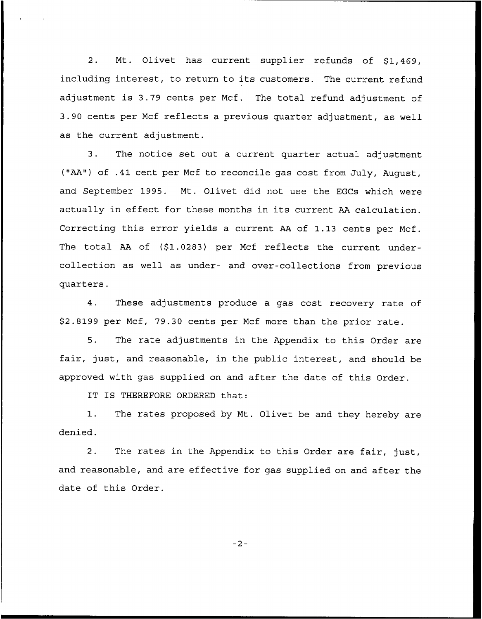2. Mt. Olivet has current supplier refunds of \$1,469, including interest, to return to its customers. The current refund adjustment is 3.79 cents per Mcf. The total refund adjustment of 3.90 cents per Mcf reflects a previous quarter adjustment, as well as the current adjustment.

3. The notice set out a current quarter actual adjustment ("AA") of .41 cent per Mcf to reconcile gas cost from July, August, and September 1995. Mt. Olivet did not use the EGCs which were actually in effect for these months in its current AA calculation. Correcting this error yields a current AA of 1.13 cents per Mcf. The total AA of (\$1.0283) per Mcf reflects the current undercollection as well as under- and over-collections from previous quarters.

4. These adjustments produce a gas cost recovery rate of \$ 2.8199 per Mcf, 79.30 cents per Mcf more than the prior rate.

5. The rate adjustments in the Appendix to this Order are fair, just, and reasonable, in the public interest, and should be approved with gas supplied on and after the date of this Order.

IT IS THEREFORE ORDERED that:

1. The rates proposed by Mt. Olivet be and they hereby are denied.

2. The rates in the Appendix to this Order are fair, just, and reasonable, and are effective for gas supplied on and after the date of this Order.

 $-2-$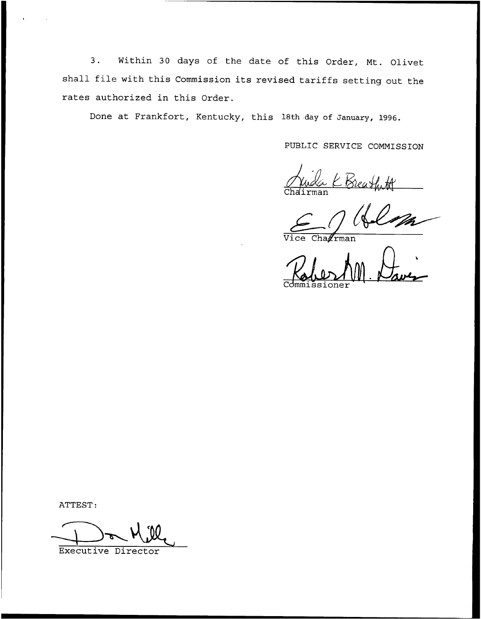3. Within <sup>30</sup> days of the date of this Order, Nt. Olivet shall file with this Commission its revised tariffs setting out the rates authorized in this Order.

Done at Frankfort, Kentucky, this 18th day of January, 1996.

PUBLIC SERVICE CONNISSION

a K Breatht

 $Cha \n \mathscr{L}$ rman

Commissione

ATTEST:

Executive Director